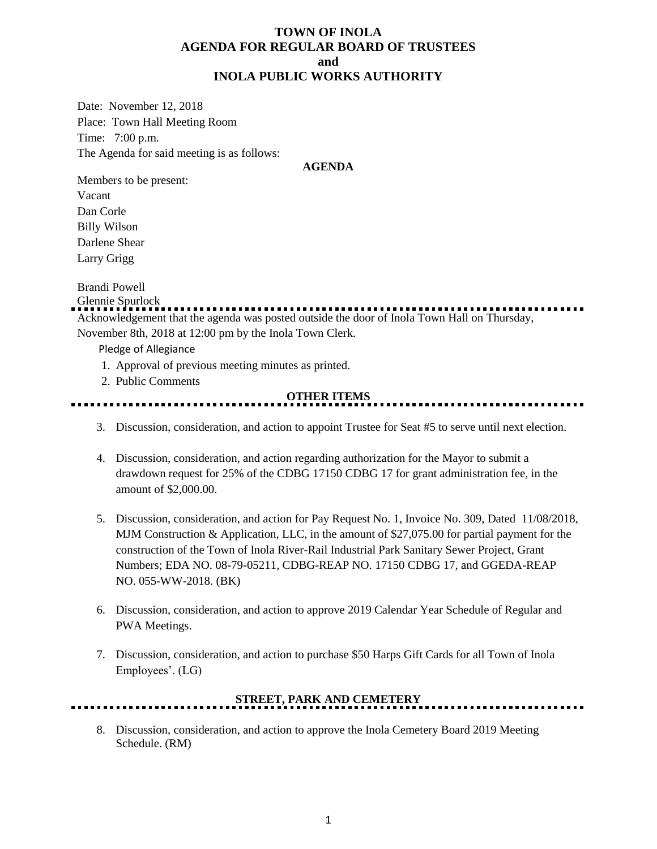# **TOWN OF INOLA AGENDA FOR REGULAR BOARD OF TRUSTEES and INOLA PUBLIC WORKS AUTHORITY**

Date: November 12, 2018 Place: Town Hall Meeting Room Time: 7:00 p.m. The Agenda for said meeting is as follows:

#### **AGENDA**

Members to be present: Vacant Dan Corle Billy Wilson Darlene Shear Larry Grigg

### Brandi Powell

Glennie Spurlock Acknowledgement that the agenda was posted outside the door of Inola Town Hall on Thursday, November 8th, 2018 at 12:00 pm by the Inola Town Clerk.

Pledge of Allegiance

- 1. Approval of previous meeting minutes as printed.
- 2. Public Comments

### **OTHER ITEMS**

- 3. Discussion, consideration, and action to appoint Trustee for Seat #5 to serve until next election.
- 4. Discussion, consideration, and action regarding authorization for the Mayor to submit a drawdown request for 25% of the CDBG 17150 CDBG 17 for grant administration fee, in the amount of \$2,000.00.
- 5. Discussion, consideration, and action for Pay Request No. 1, Invoice No. 309, Dated 11/08/2018, MJM Construction & Application, LLC, in the amount of \$27,075.00 for partial payment for the construction of the Town of Inola River-Rail Industrial Park Sanitary Sewer Project, Grant Numbers; EDA NO. 08-79-05211, CDBG-REAP NO. 17150 CDBG 17, and GGEDA-REAP NO. 055-WW-2018. (BK)
- 6. Discussion, consideration, and action to approve 2019 Calendar Year Schedule of Regular and PWA Meetings.
- 7. Discussion, consideration, and action to purchase \$50 Harps Gift Cards for all Town of Inola Employees'. (LG)

# **STREET, PARK AND CEMETERY**

8. Discussion, consideration, and action to approve the Inola Cemetery Board 2019 Meeting Schedule. (RM)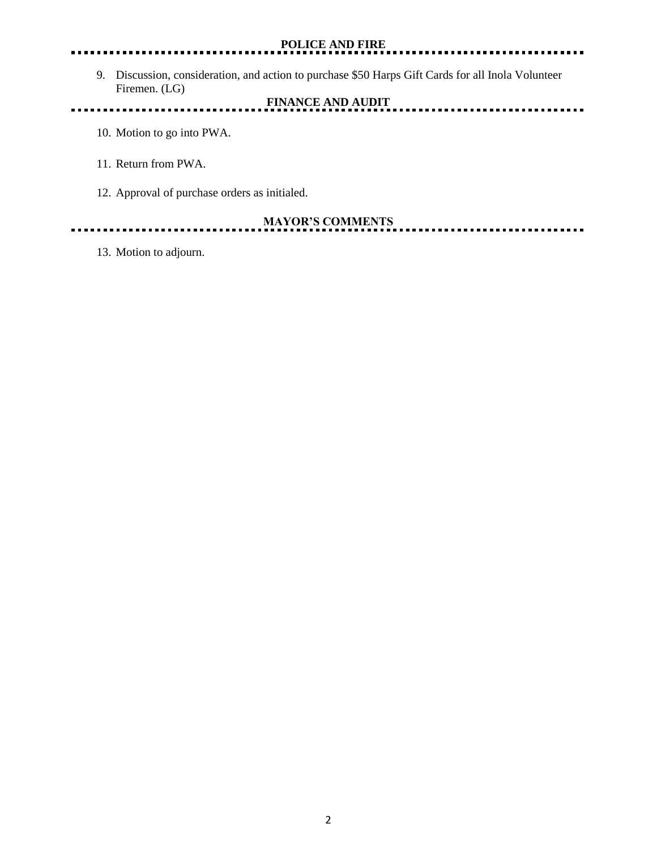### **POLICE AND FIRE**

. . .

9. Discussion, consideration, and action to purchase \$50 Harps Gift Cards for all Inola Volunteer Firemen. (LG)

**FINANCE AND AUDIT** <u>.............</u> ...... **A A** 

- 10. Motion to go into PWA.
- 11. Return from PWA.
- 12. Approval of purchase orders as initialed.

<u>. . . . . . . .</u>

**MAYOR'S COMMENTS**

13. Motion to adjourn.